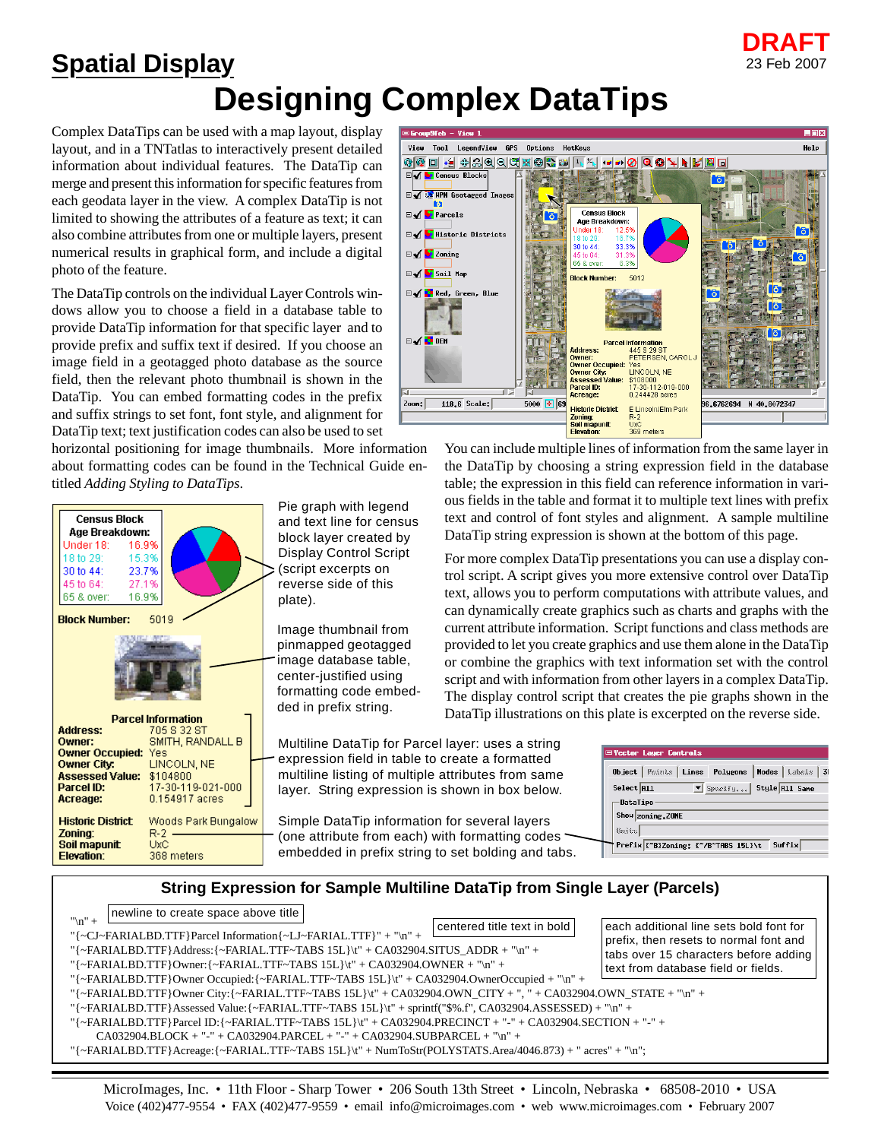## **Designing Complex DataTips Spatial Display**

Complex DataTips can be used with a map layout, display layout, and in a TNTatlas to interactively present detailed information about individual features. The DataTip can merge and present this information for specific features from each geodata layer in the view. A complex DataTip is not limited to showing the attributes of a feature as text; it can also combine attributes from one or multiple layers, present numerical results in graphical form, and include a digital photo of the feature.

The DataTip controls on the individual Layer Controls windows allow you to choose a field in a database table to provide DataTip information for that specific layer and to provide prefix and suffix text if desired. If you choose an image field in a geotagged photo database as the source field, then the relevant photo thumbnail is shown in the DataTip. You can embed formatting codes in the prefix and suffix strings to set font, font style, and alignment for DataTip text; text justification codes can also be used to set

horizontal positioning for image thumbnails. More information about formatting codes can be found in the Technical Guide entitled *Adding Styling to DataTips*.

| <b>Census Block</b><br>Age Breakdown:<br>Under 18:<br>16.9%<br>18 to 29: 15.3%<br>30 to 44: 23.7%<br>45 to 64: 27.1%<br>65 & over: 16.9% |                                                                                                                           |
|------------------------------------------------------------------------------------------------------------------------------------------|---------------------------------------------------------------------------------------------------------------------------|
| <b>Block Number: 5019</b>                                                                                                                |                                                                                                                           |
|                                                                                                                                          |                                                                                                                           |
| <b>Address:</b><br>Owner:<br><b>Owner Occupied: Yes</b><br>Owner City:<br>Assessed Value: \$104800<br>Parcel ID:<br>Acreage:             | <b>Parcel Information</b><br>705 S 32 ST<br>SMITH, RANDALL B<br><b>LINCOLN, NE</b><br>17-30-119-021-000<br>0.154917 acres |
| Zoning:<br><b>Soil mapunit UxC</b><br><b>Elevation:</b>                                                                                  | <b>Historic District</b> Woods Park Bungalow<br>$R-2$<br>368 meters                                                       |

Pie graph with legend and text line for census block layer created by Display Control Script (script excerpts on reverse side of this plate).

Image thumbnail from pinmapped geotagged image database table, center-justified using formatting code embedded in prefix string.

Multiline DataTip for Parcel layer: uses a string expression field in table to create a formatted multiline listing of multiple attributes from same layer. String expression is shown in box below.

Simple DataTip information for several layers (one attribute from each) with formatting codes embedded in prefix string to set bolding and tabs.

| $=$ Group $9$ feb - View $1$                     |                                                                 | LOX                        |
|--------------------------------------------------|-----------------------------------------------------------------|----------------------------|
| LegendView GPS<br>Options<br>View<br>Tool        | HotKeus                                                         | Help                       |
| □ +2 ↔ 3 이이어쩄 ◎ 을 ~<br>ଡାଢ଼                      | ▫▫◙◎◑◥◣▮▨▣<br>11 <sub>1</sub>                                   |                            |
| <b>Census Blocks</b><br>⊟✔                       |                                                                 | õ                          |
| □ △ <b>Solution</b> Geotagged Inages             |                                                                 |                            |
| M                                                |                                                                 |                            |
| <b>Every</b> Parcels                             | <b>Census Block</b><br>Age Breakdown:                           |                            |
| <b>□√ b</b> Historic Districts                   | Under 18:<br>12.5%                                              |                            |
|                                                  | 16.7%<br>18 to 29:<br>33.3%<br>30 to 44:                        | <b>6 26 0 1</b>            |
| <b>Eivery</b> Zoning                             | 31.3%<br>45 to 64:<br>65 & over:<br>6.3%                        | 18                         |
| <b>Eve</b> Soil Map                              | <b>Block Number:</b><br>5012                                    |                            |
|                                                  |                                                                 | lō.                        |
| <b>Event</b> , Green, Blue                       |                                                                 | ō                          |
|                                                  |                                                                 | õ                          |
|                                                  |                                                                 |                            |
| <b>⊟√ PEM</b>                                    | <b>Parcel Information</b>                                       |                            |
|                                                  | 445 S 29 ST<br><b>Address:</b><br>PETERSEN, CAROL J<br>Owner:   |                            |
|                                                  | <b>Owner Occupied: Yes</b><br>LINCOLN, NE<br><b>Owner City:</b> |                            |
|                                                  | Assessed Value: \$108000                                        |                            |
| 51.                                              | 17-30-112-019-000<br>Parcel ID:<br>0.244428 acres<br>Acreage:   |                            |
| $5000$ $\boxed{4}$ 69<br>$118.6$ Scale:<br>Zoon: | <b>Historic District</b><br>E Lincoln/Elm Park                  | 96.6762694<br>N 40.8072347 |
|                                                  | Zoning:<br>$R-2$<br><b>UvC</b><br>Soil mapunit                  |                            |
|                                                  | 369 meters<br>Elevation:                                        |                            |

**DRAFT**

23 Feb 2007

You can include multiple lines of information from the same layer in the DataTip by choosing a string expression field in the database table; the expression in this field can reference information in various fields in the table and format it to multiple text lines with prefix text and control of font styles and alignment. A sample multiline DataTip string expression is shown at the bottom of this page.

For more complex DataTip presentations you can use a display control script. A script gives you more extensive control over DataTip text, allows you to perform computations with attribute values, and can dynamically create graphics such as charts and graphs with the current attribute information. Script functions and class methods are provided to let you create graphics and use them alone in the DataTip or combine the graphics with text information set with the control script and with information from other layers in a complex DataTip. The display control script that creates the pie graphs shown in the DataTip illustrations on this plate is excerpted on the reverse side.

|             | <b>E</b> Vector Layer Controls                          |
|-------------|---------------------------------------------------------|
|             | Object   Points   Lines Polygons<br>Nodes   Labels   31 |
| Select  All | $\mathbb{Z}$ Specify<br>Style All Same                  |
| -DataTips   |                                                         |
|             | Show zoning, ZONE                                       |
| <i>uits</i> |                                                         |
|             | Suffix<br>Prefix ["B3Zoning: {"/B"TABS 15L3\t           |

## **String Expression for Sample Multiline DataTip from Single Layer (Parcels)**

| newline to create space above title                                                                                                                                                                                      |                             |                                                                                 |  |  |
|--------------------------------------------------------------------------------------------------------------------------------------------------------------------------------------------------------------------------|-----------------------------|---------------------------------------------------------------------------------|--|--|
| $"$ \n" +<br>"{~CJ~FARIALBD.TTF}Parcel Information{~LJ~FARIAL.TTF}" + "\n" +                                                                                                                                             | centered title text in bold | each additional line sets bold font for                                         |  |  |
| "{~FARIALBD.TTF}Address:{~FARIAL.TTF~TABS 15L}\t" + CA032904.SITUS_ADDR + "\n" +                                                                                                                                         |                             | prefix, then resets to normal font and<br>tabs over 15 characters before adding |  |  |
| "{~FARIALBD.TTF}Owner:{~FARIAL.TTF~TABS $15L$ }\t" + CA032904.OWNER + "\n" +                                                                                                                                             |                             | text from database field or fields.                                             |  |  |
| "{~FARIALBD.TTF}Owner Occupied:{~FARIAL.TTF~TABS 15L}\t" + CA032904.OwnerOccupied + "\n" +                                                                                                                               |                             |                                                                                 |  |  |
| "{~FARIALBD.TTF}Owner City:{~FARIAL.TTF~TABS 15L}\t" + CA032904.OWN_CITY + ", " + CA032904.OWN_STATE + "\n" +<br>"{~FARIALBD.TTF}Assessed Value:{~FARIAL.TTF~TABS 15L}\t" + sprintf("\$%.f", CA032904.ASSESSED) + "\n" + |                             |                                                                                 |  |  |
| "{~FARIALBD.TTF}Parcel ID:{~FARIAL.TTF~TABS 15L}\t" + CA032904.PRECINCT + "-" + CA032904.SECTION + "-" +                                                                                                                 |                             |                                                                                 |  |  |
| CA032904.BLOCK + "-" + CA032904.PARCEL + "-" + CA032904.SUBPARCEL + "\n" +                                                                                                                                               |                             |                                                                                 |  |  |
| "{~FARIALBD.TTF}Acreage:{~FARIAL.TTF~TABS 15L}\t" + NumToStr(POLYSTATS.Area/4046.873) + " acres" + "\n";                                                                                                                 |                             |                                                                                 |  |  |